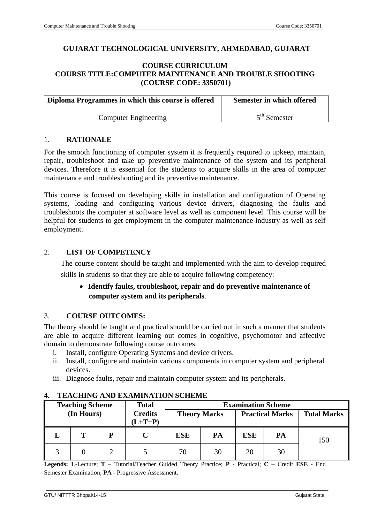## **GUJARAT TECHNOLOGICAL UNIVERSITY, AHMEDABAD, GUJARAT**

## **COURSE CURRICULUM COURSE TITLE:COMPUTER MAINTENANCE AND TROUBLE SHOOTING (COURSE CODE: 3350701)**

| Diploma Programmes in which this course is offered | Semester in which offered |
|----------------------------------------------------|---------------------------|
| <b>Computer Engineering</b>                        | $5th$ Semester            |

### 1. **RATIONALE**

For the smooth functioning of computer system it is frequently required to upkeep, maintain, repair, troubleshoot and take up preventive maintenance of the system and its peripheral devices. Therefore it is essential for the students to acquire skills in the area of computer maintenance and troubleshooting and its preventive maintenance.

This course is focused on developing skills in installation and configuration of Operating systems, loading and configuring various device drivers, diagnosing the faults and troubleshoots the computer at software level as well as component level. This course will be helpful for students to get employment in the computer maintenance industry as well as self employment.

## 2. **LIST OF COMPETENCY**

The course content should be taught and implemented with the aim to develop required skills in students so that they are able to acquire following competency:

# **Identify faults, troubleshoot, repair and do preventive maintenance of computer system and its peripherals**.

## 3. **COURSE OUTCOMES:**

The theory should be taught and practical should be carried out in such a manner that students are able to acquire different learning out comes in cognitive, psychomotor and affective domain to demonstrate following course outcomes.

- i. Install, configure Operating Systems and device drivers.
- ii. Install, configure and maintain various components in computer system and peripheral devices.
- iii. Diagnose faults, repair and maintain computer system and its peripherals.

| <b>Teaching Scheme</b> |   | <b>Examination Scheme</b><br><b>Total</b> |                     |            |                        |     |                    |     |
|------------------------|---|-------------------------------------------|---------------------|------------|------------------------|-----|--------------------|-----|
| (In Hours)             |   | <b>Credits</b><br>$(L+T+P)$               | <b>Theory Marks</b> |            | <b>Practical Marks</b> |     | <b>Total Marks</b> |     |
|                        | т | P                                         |                     | <b>ESE</b> | PA                     | ESE | PA                 | 150 |
|                        |   |                                           |                     | 70         | 30                     | 20  | 30                 |     |

## **4. TEACHING AND EXAMINATION SCHEME**

**Legends: L**-Lecture; **T** – Tutorial/Teacher Guided Theory Practice; **P** - Practical; **C** – Credit **ESE** - End Semester Examination; **PA** - Progressive Assessment.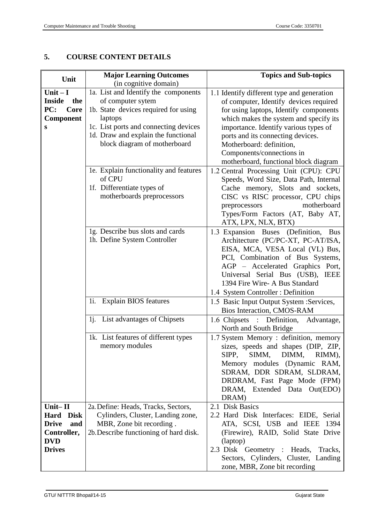# **5. COURSE CONTENT DETAILS**

| Unit                 | <b>Major Learning Outcomes</b>                   | <b>Topics and Sub-topics</b>                                          |
|----------------------|--------------------------------------------------|-----------------------------------------------------------------------|
|                      | (in cognitive domain)                            |                                                                       |
| Unit $-I$            | 1a. List and Identify the components             | 1.1 Identify different type and generation                            |
| <b>Inside</b><br>the | of computer sytem                                | of computer, Identify devices required                                |
| PC:<br>Core          | 1b. State devices required for using             | for using laptops, Identify components                                |
| <b>Component</b>     | laptops                                          | which makes the system and specify its                                |
| S                    | 1c. List ports and connecting devices            | importance. Identify various types of                                 |
|                      | 1d. Draw and explain the functional              | ports and its connecting devices.                                     |
|                      | block diagram of motherboard                     | Motherboard: definition,                                              |
|                      |                                                  | Components/connections in                                             |
|                      |                                                  | motherboard, functional block diagram                                 |
|                      | 1e. Explain functionality and features<br>of CPU | 1.2 Central Processing Unit (CPU): CPU                                |
|                      | 1f. Differentiate types of                       | Speeds, Word Size, Data Path, Internal                                |
|                      | motherboards preprocessors                       | Cache memory, Slots and sockets,<br>CISC vs RISC processor, CPU chips |
|                      |                                                  | motherboard<br>preprocessors                                          |
|                      |                                                  | Types/Form Factors (AT, Baby AT,                                      |
|                      |                                                  | ATX, LPX, NLX, BTX)                                                   |
|                      | 1g. Describe bus slots and cards                 | 1.3 Expansion Buses (Definition,<br><b>Bus</b>                        |
|                      | 1h. Define System Controller                     | Architecture (PC/PC-XT, PC-AT/ISA,                                    |
|                      |                                                  | EISA, MCA, VESA Local (VL) Bus,                                       |
|                      |                                                  | PCI, Combination of Bus Systems,                                      |
|                      |                                                  | AGP - Accelerated Graphics Port,                                      |
|                      |                                                  | Universal Serial Bus (USB), IEEE                                      |
|                      |                                                  | 1394 Fire Wire- A Bus Standard                                        |
|                      |                                                  | 1.4 System Controller : Definition                                    |
|                      | 1i. Explain BIOS features                        | 1.5 Basic Input Output System : Services,                             |
|                      |                                                  | Bios Interaction, CMOS-RAM                                            |
|                      | 1j. List advantages of Chipsets                  | 1.6 Chipsets : Definition,<br>Advantage,                              |
|                      |                                                  | North and South Bridge                                                |
|                      | 1k. List features of different types             | 1.7 System Memory: definition, memory                                 |
|                      | memory modules                                   | sizes, speeds and shapes (DIP, ZIP,                                   |
|                      |                                                  | SIPP, SIMM, DIMM, RIMM),                                              |
|                      |                                                  | Memory modules (Dynamic RAM,                                          |
|                      |                                                  | SDRAM, DDR SDRAM, SLDRAM,                                             |
|                      |                                                  | DRDRAM, Fast Page Mode (FPM)                                          |
|                      |                                                  | DRAM, Extended Data Out(EDO)<br>DRAM)                                 |
| Unit- $II$           | 2a. Define: Heads, Tracks, Sectors,              | 2.1 Disk Basics                                                       |
| <b>Hard</b> Disk     | Cylinders, Cluster, Landing zone,                | 2.2 Hard Disk Interfaces: EIDE, Serial                                |
| <b>Drive</b><br>and  | MBR, Zone bit recording.                         | ATA, SCSI, USB and IEEE 1394                                          |
| Controller,          | 2b. Describe functioning of hard disk.           | (Firewire), RAID, Solid State Drive                                   |
| <b>DVD</b>           |                                                  | (laptop)                                                              |
| <b>Drives</b>        |                                                  | 2.3 Disk Geometry : Heads, Tracks,                                    |
|                      |                                                  | Sectors, Cylinders, Cluster, Landing                                  |
|                      |                                                  | zone, MBR, Zone bit recording                                         |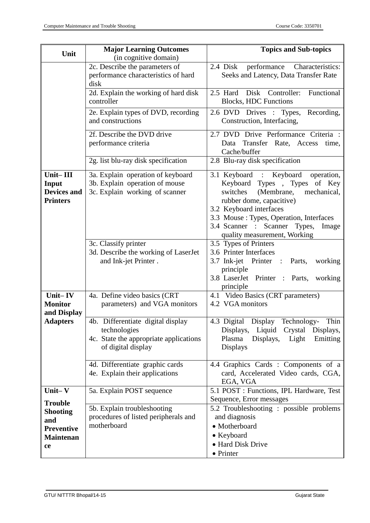| Unit                                                                                    | <b>Major Learning Outcomes</b>                                                                                    | <b>Topics and Sub-topics</b>                                                                                                                                                                                                                                                             |  |  |
|-----------------------------------------------------------------------------------------|-------------------------------------------------------------------------------------------------------------------|------------------------------------------------------------------------------------------------------------------------------------------------------------------------------------------------------------------------------------------------------------------------------------------|--|--|
|                                                                                         | (in cognitive domain)                                                                                             |                                                                                                                                                                                                                                                                                          |  |  |
|                                                                                         | 2c. Describe the parameters of<br>performance characteristics of hard<br>disk                                     | 2.4 Disk<br>performance Characteristics:<br>Seeks and Latency, Data Transfer Rate                                                                                                                                                                                                        |  |  |
|                                                                                         | 2d. Explain the working of hard disk<br>controller                                                                | 2.5 Hard Disk Controller: Functional<br><b>Blocks, HDC Functions</b>                                                                                                                                                                                                                     |  |  |
|                                                                                         | 2e. Explain types of DVD, recording<br>and constructions                                                          | 2.6 DVD Drives : Types, Recording,<br>Construction, Interfacing,                                                                                                                                                                                                                         |  |  |
|                                                                                         | 2f. Describe the DVD drive<br>performance criteria                                                                | 2.7 DVD Drive Performance Criteria :<br>Data Transfer Rate, Access<br>time,<br>Cache/buffer                                                                                                                                                                                              |  |  |
|                                                                                         | 2g. list blu-ray disk specification                                                                               | 2.8 Blu-ray disk specification                                                                                                                                                                                                                                                           |  |  |
| Unit-III<br>Input<br><b>Devices and</b><br><b>Printers</b>                              | 3a. Explain operation of keyboard<br>3b. Explain operation of mouse<br>3c. Explain working of scanner             | 3.1 Keyboard : Keyboard operation,<br>Keyboard Types , Types of Key<br>switches<br>(Membrane,<br>mechanical,<br>rubber dome, capacitive)<br>3.2 Keyboard interfaces<br>3.3 Mouse : Types, Operation, Interfaces<br>3.4 Scanner : Scanner Types,<br>Image<br>quality measurement, Working |  |  |
|                                                                                         | 3c. Classify printer<br>3d. Describe the working of LaserJet<br>and Ink-jet Printer.                              | 3.5 Types of Printers<br>3.6 Printer Interfaces<br>3.7 Ink-jet Printer : Parts,<br>working<br>principle<br>3.8 LaserJet Printer : Parts,<br>working<br>principle                                                                                                                         |  |  |
| Unit $-$ IV<br><b>Monitor</b><br>and Display                                            | 4a. Define video basics (CRT<br>parameters) and VGA monitors                                                      | 4.1 Video Basics (CRT parameters)<br>4.2 VGA monitors                                                                                                                                                                                                                                    |  |  |
| <b>Adapters</b>                                                                         | 4b. Differentiate digital display<br>technologies<br>4c. State the appropriate applications<br>of digital display | 4.3 Digital Display<br>Technology- Thin<br>Displays,<br>Liquid<br>Crystal Displays,<br>Plasma<br>Displays,<br>Light<br>Emitting<br><b>Displays</b>                                                                                                                                       |  |  |
|                                                                                         | 4d. Differentiate graphic cards<br>4e. Explain their applications                                                 | 4.4 Graphics Cards : Components of a<br>card, Accelerated Video cards, CGA,<br>EGA, VGA                                                                                                                                                                                                  |  |  |
| Unit $-V$                                                                               | 5a. Explain POST sequence                                                                                         | 5.1 POST : Functions, IPL Hardware, Test                                                                                                                                                                                                                                                 |  |  |
| <b>Trouble</b><br><b>Shooting</b><br>and<br><b>Preventive</b><br><b>Maintenan</b><br>ce | 5b. Explain troubleshooting<br>procedures of listed peripherals and<br>motherboard                                | Sequence, Error messages<br>5.2 Troubleshooting : possible problems<br>and diagnosis<br>• Motherboard<br>• Keyboard<br>• Hard Disk Drive<br>• Printer                                                                                                                                    |  |  |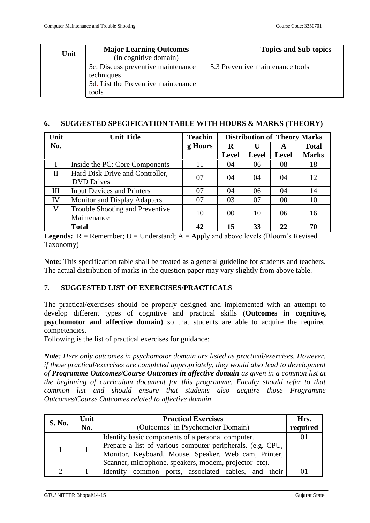| Unit | <b>Major Learning Outcomes</b><br>(in cognitive domain)                                          | <b>Topics and Sub-topics</b>     |
|------|--------------------------------------------------------------------------------------------------|----------------------------------|
|      | 5c. Discuss preventive maintenance<br>techniques<br>5d. List the Preventive maintenance<br>tools | 5.3 Preventive maintenance tools |

#### **6. SUGGESTED SPECIFICATION TABLE WITH HOURS & MARKS (THEORY)**

| Unit         | <b>Unit Title</b>                                    | <b>Distribution of Theory Marks</b> |                |              |              |              |
|--------------|------------------------------------------------------|-------------------------------------|----------------|--------------|--------------|--------------|
| No.          |                                                      | g Hours                             | R              | U            | A            | <b>Total</b> |
|              |                                                      |                                     | <b>Level</b>   | <b>Level</b> | <b>Level</b> | <b>Marks</b> |
|              | Inside the PC: Core Components                       | 11                                  | 04             | 06           | 08           | 18           |
| $\mathbf{I}$ | Hard Disk Drive and Controller,<br><b>DVD</b> Drives | 07                                  | 04             | 04           | 04           | 12           |
| Ш            | <b>Input Devices and Printers</b>                    | 07                                  | 04             | 06           | 04           | 14           |
| IV           | Monitor and Display Adapters                         | 07                                  | 03             | 07           | 00           | 10           |
| V            | Trouble Shooting and Preventive<br>Maintenance       | 10                                  | 0 <sup>0</sup> | 10           | 06           | 16           |
|              | <b>Total</b>                                         | 42                                  | 15             | 33           | 22           | 70           |

**Legends:**  $R =$  Remember;  $U =$  Understand;  $A =$  Apply and above levels (Bloom's Revised Taxonomy)

**Note:** This specification table shall be treated as a general guideline for students and teachers. The actual distribution of marks in the question paper may vary slightly from above table.

## 7. **SUGGESTED LIST OF EXERCISES/PRACTICALS**

The practical/exercises should be properly designed and implemented with an attempt to develop different types of cognitive and practical skills **(Outcomes in cognitive, psychomotor and affective domain**) so that students are able to acquire the required competencies.

Following is the list of practical exercises for guidance:

*Note: Here only outcomes in psychomotor domain are listed as practical/exercises. However, if these practical/exercises are completed appropriately, they would also lead to development of Programme Outcomes/Course Outcomes in affective domain as given in a common list at the beginning of curriculum document for this programme. Faculty should refer to that common list and should ensure that students also acquire those Programme Outcomes/Course Outcomes related to affective domain*

| <b>S. No.</b> | Unit | <b>Practical Exercises</b>                                                                                                                                                                                                       | Hrs.     |
|---------------|------|----------------------------------------------------------------------------------------------------------------------------------------------------------------------------------------------------------------------------------|----------|
|               | No.  | (Outcomes' in Psychomotor Domain)                                                                                                                                                                                                | required |
|               |      | Identify basic components of a personal computer.<br>Prepare a list of various computer peripherals. (e.g. CPU,<br>Monitor, Keyboard, Mouse, Speaker, Web cam, Printer,<br>Scanner, microphone, speakers, modem, projector etc). |          |
|               |      | Identify common ports, associated cables, and their                                                                                                                                                                              |          |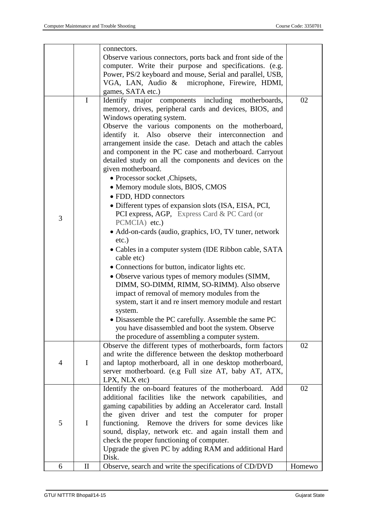|   | $\mathbf I$  | connectors.<br>Observe various connectors, ports back and front side of the<br>computer. Write their purpose and specifications. (e.g.<br>Power, PS/2 keyboard and mouse, Serial and parallel, USB,<br>VGA, LAN, Audio & microphone, Firewire, HDMI,<br>games, SATA etc.)<br>Identify major components including motherboards,<br>memory, drives, peripheral cards and devices, BIOS, and<br>Windows operating system.<br>Observe the various components on the motherboard,<br>identify it. Also observe their interconnection and<br>arrangement inside the case. Detach and attach the cables | 02     |
|---|--------------|--------------------------------------------------------------------------------------------------------------------------------------------------------------------------------------------------------------------------------------------------------------------------------------------------------------------------------------------------------------------------------------------------------------------------------------------------------------------------------------------------------------------------------------------------------------------------------------------------|--------|
| 3 |              | and component in the PC case and motherboard. Carryout<br>detailed study on all the components and devices on the<br>given motherboard.<br>• Processor socket , Chipsets,<br>• Memory module slots, BIOS, CMOS<br>• FDD, HDD connectors<br>• Different types of expansion slots (ISA, EISA, PCI,<br>PCI express, AGP, Express Card & PC Card (or<br>PCMCIA) etc.)                                                                                                                                                                                                                                |        |
|   |              | • Add-on-cards (audio, graphics, I/O, TV tuner, network<br>$etc.$ )<br>• Cables in a computer system (IDE Ribbon cable, SATA<br>cable etc)<br>• Connections for button, indicator lights etc.<br>• Observe various types of memory modules (SIMM,<br>DIMM, SO-DIMM, RIMM, SO-RIMM). Also observe<br>impact of removal of memory modules from the<br>system, start it and re insert memory module and restart<br>system.<br>• Disassemble the PC carefully. Assemble the same PC<br>you have disassembled and boot the system. Observe<br>the procedure of assembling a computer system.          |        |
| 4 | $\mathbf I$  | Observe the different types of motherboards, form factors<br>and write the difference between the desktop motherboard<br>and laptop motherboard, all in one desktop motherboard,<br>server motherboard. (e.g Full size AT, baby AT, ATX,<br>LPX, NLX etc)                                                                                                                                                                                                                                                                                                                                        | 02     |
| 5 | $\mathbf I$  | Identify the on-board features of the motherboard.<br>Add<br>additional facilities like the network capabilities, and<br>gaming capabilities by adding an Accelerator card. Install<br>the given driver and test the computer for proper<br>functioning. Remove the drivers for some devices like<br>sound, display, network etc. and again install them and<br>check the proper functioning of computer.<br>Upgrade the given PC by adding RAM and additional Hard<br>Disk.                                                                                                                     | 02     |
| 6 | $\mathbf{I}$ | Observe, search and write the specifications of CD/DVD                                                                                                                                                                                                                                                                                                                                                                                                                                                                                                                                           | Homewo |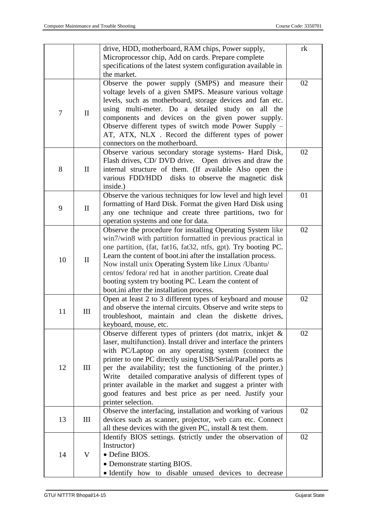|        |              | drive, HDD, motherboard, RAM chips, Power supply,                | rk |
|--------|--------------|------------------------------------------------------------------|----|
|        |              | Microprocessor chip, Add on cards. Prepare complete              |    |
|        |              | specifications of the latest system configuration available in   |    |
|        |              | the market.                                                      |    |
|        |              | Observe the power supply (SMPS) and measure their                | 02 |
|        |              | voltage levels of a given SMPS. Measure various voltage          |    |
|        |              | levels, such as motherboard, storage devices and fan etc.        |    |
|        |              | using multi-meter. Do a detailed study on all the                |    |
| $\tau$ | $\mathbf{I}$ | components and devices on the given power supply.                |    |
|        |              | Observe different types of switch mode Power Supply -            |    |
|        |              | AT, ATX, NLX . Record the different types of power               |    |
|        |              | connectors on the motherboard.                                   |    |
|        |              | Observe various secondary storage systems- Hard Disk,            | 02 |
|        |              | Flash drives, CD/DVD drive. Open drives and draw the             |    |
| 8      | $\mathbf{I}$ | internal structure of them. (If available Also open the          |    |
|        |              | various FDD/HDD<br>disks to observe the magnetic disk            |    |
|        |              | inside.)                                                         |    |
|        |              | Observe the various techniques for low level and high level      | 01 |
|        |              | formatting of Hard Disk. Format the given Hard Disk using        |    |
| 9      | $\mathbf{I}$ | any one technique and create three partitions, two for           |    |
|        |              | operation systems and one for data.                              |    |
|        |              | Observe the procedure for installing Operating System like       | 02 |
|        |              | win7/win8 with partition formatted in previous practical in      |    |
|        |              | one partition, (fat, fat16, fat32, ntfs, gpt). Try booting PC.   |    |
|        |              | Learn the content of boot.ini after the installation process.    |    |
| 10     | $\mathbf{I}$ | Now install unix Operating System like Linux / Ubantu/           |    |
|        |              | centos/ fedora/ red hat in another partition. Create dual        |    |
|        |              | booting system try booting PC. Learn the content of              |    |
|        |              | boot.ini after the installation process.                         |    |
|        |              | Open at least 2 to 3 different types of keyboard and mouse       | 02 |
|        |              | and observe the internal circuits. Observe and write steps to    |    |
| 11     | Ш            | troubleshoot, maintain and clean the diskette drives,            |    |
|        |              | keyboard, mouse, etc.                                            |    |
|        |              | Observe different types of printers (dot matrix, inkjet &        | 02 |
|        |              | laser, multifunction). Install driver and interface the printers |    |
|        |              | with PC/Laptop on any operating system (connect the              |    |
|        |              | printer to one PC directly using USB/Serial/Parallel ports as    |    |
| 12     | III          | per the availability; test the functioning of the printer.)      |    |
|        |              | detailed comparative analysis of different types of<br>Write     |    |
|        |              | printer available in the market and suggest a printer with       |    |
|        |              | good features and best price as per need. Justify your           |    |
|        |              | printer selection.                                               |    |
|        |              | Observe the interfacing, installation and working of various     | 02 |
| 13     | III          | devices such as scanner, projector, web cam etc. Connect         |    |
|        |              | all these devices with the given PC, install $&$ test them.      |    |
|        |              | Identify BIOS settings. (strictly under the observation of       | 02 |
|        |              | Instructor)                                                      |    |
| 14     | $\mathbf{V}$ | • Define BIOS.                                                   |    |
|        |              | • Demonstrate starting BIOS.                                     |    |
|        |              | · Identify how to disable unused devices to decrease             |    |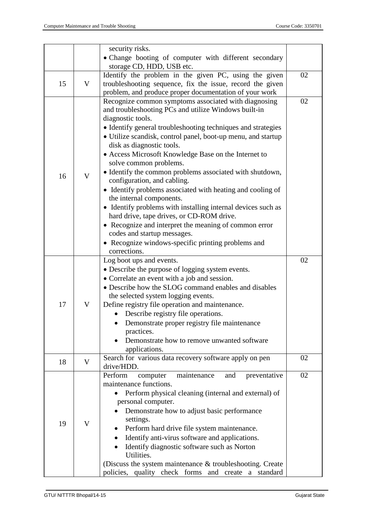|    |                | security risks.                                              |    |
|----|----------------|--------------------------------------------------------------|----|
|    |                | • Change booting of computer with different secondary        |    |
|    |                | storage CD, HDD, USB etc.                                    |    |
|    |                | Identify the problem in the given PC, using the given        | 02 |
| 15 | V              | troubleshooting sequence, fix the issue, record the given    |    |
|    |                | problem, and produce proper documentation of your work       |    |
|    |                | Recognize common symptoms associated with diagnosing         | 02 |
|    |                | and troubleshooting PCs and utilize Windows built-in         |    |
|    |                | diagnostic tools.                                            |    |
|    |                | • Identify general troubleshooting techniques and strategies |    |
|    |                | • Utilize scandisk, control panel, boot-up menu, and startup |    |
|    |                | disk as diagnostic tools.                                    |    |
|    |                | • Access Microsoft Knowledge Base on the Internet to         |    |
|    |                | solve common problems.                                       |    |
|    |                | · Identify the common problems associated with shutdown,     |    |
| 16 | $\overline{V}$ | configuration, and cabling.                                  |    |
|    |                | • Identify problems associated with heating and cooling of   |    |
|    |                | the internal components.                                     |    |
|    |                | • Identify problems with installing internal devices such as |    |
|    |                | hard drive, tape drives, or CD-ROM drive.                    |    |
|    |                | • Recognize and interpret the meaning of common error        |    |
|    |                | codes and startup messages.                                  |    |
|    |                | • Recognize windows-specific printing problems and           |    |
|    |                | corrections.                                                 |    |
|    |                | Log boot ups and events.                                     | 02 |
|    |                | • Describe the purpose of logging system events.             |    |
|    |                | • Correlate an event with a job and session.                 |    |
|    |                | • Describe how the SLOG command enables and disables         |    |
|    |                | the selected system logging events.                          |    |
| 17 | V              | Define registry file operation and maintenance.              |    |
|    |                | • Describe registry file operations.                         |    |
|    |                | Demonstrate proper registry file maintenance                 |    |
|    |                | practices.                                                   |    |
|    |                | Demonstrate how to remove unwanted software                  |    |
|    |                | applications.                                                |    |
|    |                | Search for various data recovery software apply on pen       | 02 |
| 18 | $\mathbf{V}$   | drive/HDD.                                                   |    |
|    |                | Perform<br>maintenance<br>preventative<br>computer<br>and    | 02 |
|    |                | maintenance functions.                                       |    |
|    |                | Perform physical cleaning (internal and external) of         |    |
|    |                | personal computer.                                           |    |
|    |                | Demonstrate how to adjust basic performance                  |    |
| 19 | $\mathbf V$    | settings.                                                    |    |
|    |                | Perform hard drive file system maintenance.                  |    |
|    |                | Identify anti-virus software and applications.               |    |
|    |                | Identify diagnostic software such as Norton                  |    |
|    |                | Utilities.                                                   |    |
|    |                | (Discuss the system maintenance & troubleshooting. Create    |    |
|    |                | policies, quality check forms and create a standard          |    |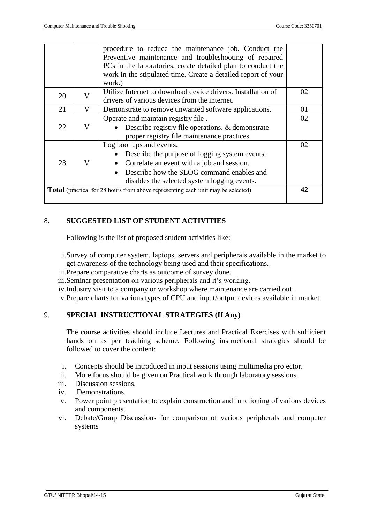|    |   | procedure to reduce the maintenance job. Conduct the<br>Preventive maintenance and troubleshooting of repaired<br>PCs in the laboratories, create detailed plan to conduct the<br>work in the stipulated time. Create a detailed report of your<br>work.) |    |
|----|---|-----------------------------------------------------------------------------------------------------------------------------------------------------------------------------------------------------------------------------------------------------------|----|
| 20 | V | Utilize Internet to download device drivers. Installation of                                                                                                                                                                                              | 02 |
|    |   | drivers of various devices from the internet.                                                                                                                                                                                                             | 01 |
| 21 | V | Demonstrate to remove unwanted software applications.                                                                                                                                                                                                     |    |
|    |   | Operate and maintain registry file.                                                                                                                                                                                                                       | 02 |
| 22 | V | Describe registry file operations. & demonstrate                                                                                                                                                                                                          |    |
|    |   | proper registry file maintenance practices.                                                                                                                                                                                                               |    |
|    |   | Log boot ups and events.                                                                                                                                                                                                                                  | 02 |
|    |   | Describe the purpose of logging system events.                                                                                                                                                                                                            |    |
| 23 | V | Correlate an event with a job and session.<br>$\bullet$                                                                                                                                                                                                   |    |
|    |   | Describe how the SLOG command enables and                                                                                                                                                                                                                 |    |
|    |   | disables the selected system logging events.                                                                                                                                                                                                              |    |
|    |   | <b>Total</b> (practical for 28 hours from above representing each unit may be selected)                                                                                                                                                                   | 42 |
|    |   |                                                                                                                                                                                                                                                           |    |

## 8. **SUGGESTED LIST OF STUDENT ACTIVITIES**

Following is the list of proposed student activities like:

- i.Survey of computer system, laptops, servers and peripherals available in the market to get awareness of the technology being used and their specifications.
- ii.Prepare comparative charts as outcome of survey done.
- iii.Seminar presentation on various peripherals and it's working.
- iv.Industry visit to a company or workshop where maintenance are carried out.

v.Prepare charts for various types of CPU and input/output devices available in market.

#### 9. **SPECIAL INSTRUCTIONAL STRATEGIES (If Any)**

The course activities should include Lectures and Practical Exercises with sufficient hands on as per teaching scheme. Following instructional strategies should be followed to cover the content:

- i. Concepts should be introduced in input sessions using multimedia projector.
- ii. More focus should be given on Practical work through laboratory sessions.
- iii. Discussion sessions.
- iv. Demonstrations.
- v. Power point presentation to explain construction and functioning of various devices and components.
- vi. Debate/Group Discussions for comparison of various peripherals and computer systems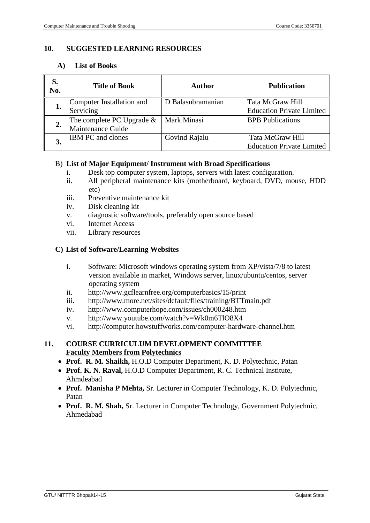### **10. SUGGESTED LEARNING RESOURCES**

### **A) List of Books**

| S.<br>No. | <b>Title of Book</b><br>Author                    |                   | <b>Publication</b>                                   |
|-----------|---------------------------------------------------|-------------------|------------------------------------------------------|
| ı.        | Computer Installation and<br>Servicing            | D Balasubramanian | Tata McGraw Hill<br><b>Education Private Limited</b> |
| 2.        | The complete PC Upgrade $\&$<br>Maintenance Guide | Mark Minasi       | <b>BPB</b> Publications                              |
| 3.        | <b>IBM PC</b> and clones                          | Govind Rajalu     | Tata McGraw Hill<br><b>Education Private Limited</b> |

#### B) **List of Major Equipment/ Instrument with Broad Specifications**

- i. Desk top computer system, laptops, servers with latest configuration.
- ii. All peripheral maintenance kits (motherboard, keyboard, DVD, mouse, HDD etc)
- iii. Preventive maintenance kit
- iv. Disk cleaning kit
- v. diagnostic software/tools, preferably open source based
- vi. Internet Access
- vii. Library resources

### **C) List of Software/Learning Websites**

- i. Software: Microsoft windows operating system from XP/vista/7/8 to latest version available in market, Windows server, linux/ubuntu/centos, server operating system
- ii. http://www.gcflearnfree.org/computerbasics/15/print
- iii. http://www.more.net/sites/default/files/training/BTTmain.pdf
- iv. http://www.computerhope.com/issues/ch000248.htm
- v. http://www.youtube.com/watch?v=Wk0m6TlO8X4
- vi. http://computer.howstuffworks.com/computer-hardware-channel.htm

### **11. COURSE CURRICULUM DEVELOPMENT COMMITTEE Faculty Members from Polytechnics**

- **Prof. R. M. Shaikh,** H.O.D Computer Department, K. D. Polytechnic, Patan
- **Prof. K. N. Raval,** H.O.D Computer Department, R. C. Technical Institute, Ahmdeabad
- **Prof. Manisha P Mehta,** Sr. Lecturer in Computer Technology, K. D. Polytechnic, Patan
- **Prof. R. M. Shah,** Sr. Lecturer in Computer Technology, Government Polytechnic, Ahmedabad